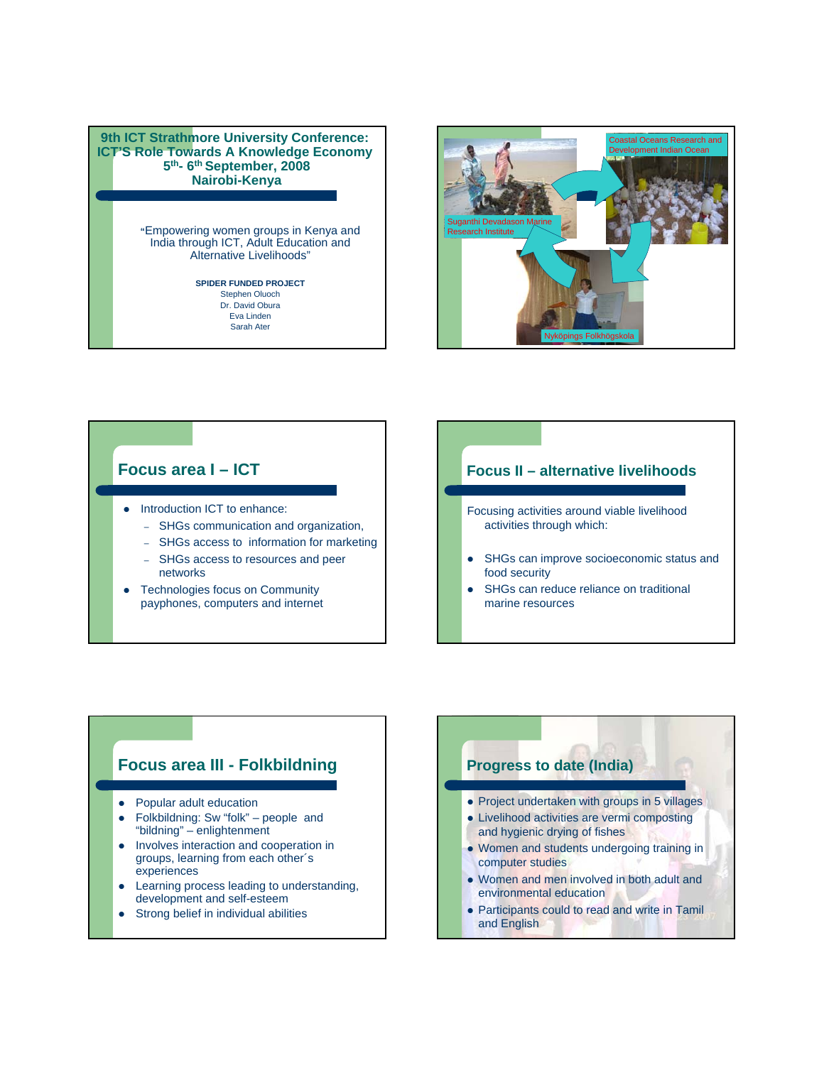#### **9th ICT Strathmore University Conference: ICT'S Role Towards A Knowledge Economy 5th- 6th September, 2008 Nairobi-Kenya**

**"**Empowering women groups in Kenya and India through ICT, Adult Education and Alternative Livelihoods"

#### **SPIDER FUNDED PROJECT** Stephen Oluoch Dr. David Obura

Eva Linden Sarah Ater



### **Focus area I – ICT**

- Introduction ICT to enhance:
	- SHGs communication and organization,
	- SHGs access to information for marketing
	- SHGs access to resources and peer networks
- Technologies focus on Community payphones, computers and internet

### **Focus II – alternative livelihoods**

- Focusing activities around viable livelihood activities through which:
- SHGs can improve socioeconomic status and food security
- SHGs can reduce reliance on traditional marine resources

## **Focus area III - Folkbildning**

- Popular adult education
- Folkbildning: Sw "folk" people and "bildning" – enlightenment
- Involves interaction and cooperation in groups, learning from each other´s experiences
- Learning process leading to understanding, development and self-esteem
- Strong belief in individual abilities

# **Progress to date (India)**

- Project undertaken with groups in 5 villages
- Livelihood activities are vermi composting and hygienic drying of fishes
- Women and students undergoing training in computer studies
- Women and men involved in both adult and environmental education
- Participants could to read and write in Tamil and English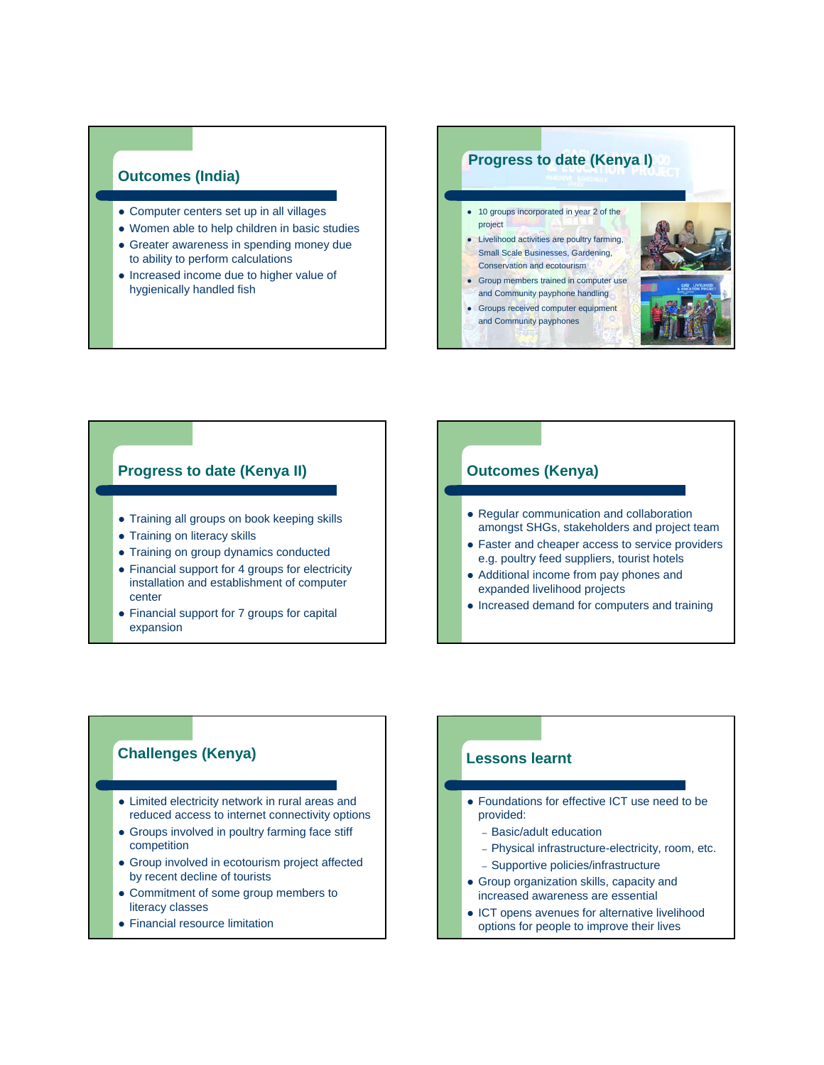#### **Outcomes (India)**

- Computer centers set up in all villages
- Women able to help children in basic studies
- Greater awareness in spending money due to ability to perform calculations
- Increased income due to higher value of hygienically handled fish

#### **Progress to date (Kenya I)**

- 10 groups incorporated in year 2 of the project
- Livelihood activities are poultry farming, Small Scale Businesses, Gardening, Conservation and ecotourism
- Group members trained in computer use
- and Community payphone handling
- Groups received computer equipment
- and Community payphones



#### **Progress to date (Kenya II)**

- Training all groups on book keeping skills
- Training on literacy skills
- Training on group dynamics conducted
- Financial support for 4 groups for electricity installation and establishment of computer center
- Financial support for 7 groups for capital expansion

#### **Outcomes (Kenya)**

- Regular communication and collaboration amongst SHGs, stakeholders and project team
- Faster and cheaper access to service providers e.g. poultry feed suppliers, tourist hotels
- Additional income from pay phones and expanded livelihood projects
- Increased demand for computers and training

#### **Challenges (Kenya)**

- Limited electricity network in rural areas and reduced access to internet connectivity options
- Groups involved in poultry farming face stiff competition
- Group involved in ecotourism project affected by recent decline of tourists
- Commitment of some group members to literacy classes
- Financial resource limitation

#### **Lessons learnt**

- Foundations for effective ICT use need to be provided:
	- Basic/adult education
	- Physical infrastructure-electricity, room, etc.
	- Supportive policies/infrastructure
- Group organization skills, capacity and increased awareness are essential
- ICT opens avenues for alternative livelihood options for people to improve their lives